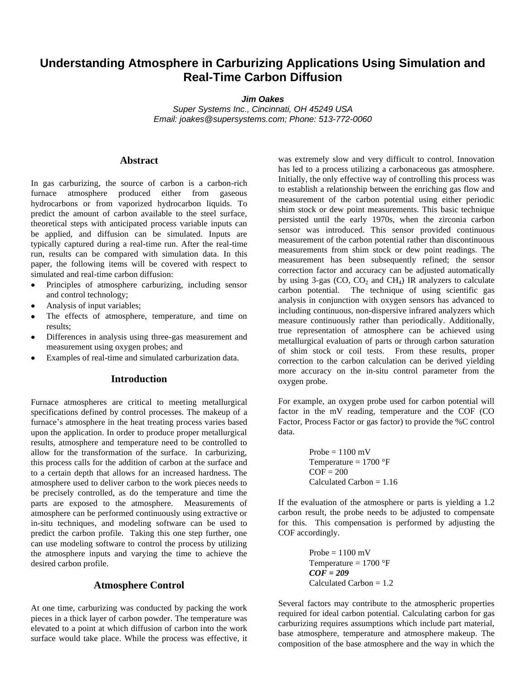# **Understanding Atmosphere in Carburizing Applications Using Simulation and Real-Time Carbon Diffusion**

*Jim Oakes*

*Super Systems Inc., Cincinnati, OH 45249 USA Email: joakes@supersystems.com; Phone: 513-772-0060*

## **Abstract**

In gas carburizing, the source of carbon is a carbon-rich furnace atmosphere produced either from gaseous hydrocarbons or from vaporized hydrocarbon liquids. To predict the amount of carbon available to the steel surface, theoretical steps with anticipated process variable inputs can be applied, and diffusion can be simulated. Inputs are typically captured during a real-time run. After the real-time run, results can be compared with simulation data. In this paper, the following items will be covered with respect to simulated and real-time carbon diffusion:

- Principles of atmosphere carburizing, including sensor and control technology;
- Analysis of input variables;
- The effects of atmosphere, temperature, and time on results;
- Differences in analysis using three-gas measurement and measurement using oxygen probes; and
- Examples of real-time and simulated carburization data.

#### **Introduction**

Furnace atmospheres are critical to meeting metallurgical specifications defined by control processes. The makeup of a furnace's atmosphere in the heat treating process varies based upon the application. In order to produce proper metallurgical results, atmosphere and temperature need to be controlled to allow for the transformation of the surface. In carburizing, this process calls for the addition of carbon at the surface and to a certain depth that allows for an increased hardness. The atmosphere used to deliver carbon to the work pieces needs to be precisely controlled, as do the temperature and time the parts are exposed to the atmosphere. Measurements of atmosphere can be performed continuously using extractive or in-situ techniques, and modeling software can be used to predict the carbon profile. Taking this one step further, one can use modeling software to control the process by utilizing the atmosphere inputs and varying the time to achieve the desired carbon profile.

#### **Atmosphere Control**

At one time, carburizing was conducted by packing the work pieces in a thick layer of carbon powder. The temperature was elevated to a point at which diffusion of carbon into the work surface would take place. While the process was effective, it was extremely slow and very difficult to control. Innovation has led to a process utilizing a carbonaceous gas atmosphere. Initially, the only effective way of controlling this process was to establish a relationship between the enriching gas flow and measurement of the carbon potential using either periodic shim stock or dew point measurements. This basic technique persisted until the early 1970s, when the zirconia carbon sensor was introduced. This sensor provided continuous measurement of the carbon potential rather than discontinuous measurements from shim stock or dew point readings. The measurement has been subsequently refined; the sensor correction factor and accuracy can be adjusted automatically by using 3-gas (CO,  $CO<sub>2</sub>$  and  $CH<sub>4</sub>$ ) IR analyzers to calculate carbon potential. The technique of using scientific gas analysis in conjunction with oxygen sensors has advanced to including continuous, non-dispersive infrared analyzers which measure continuously rather than periodically. Additionally, true representation of atmosphere can be achieved using metallurgical evaluation of parts or through carbon saturation of shim stock or coil tests. From these results, proper correction to the carbon calculation can be derived yielding more accuracy on the in-situ control parameter from the oxygen probe.

For example, an oxygen probe used for carbon potential will factor in the mV reading, temperature and the COF (CO Factor, Process Factor or gas factor) to provide the %C control data.

> $Probe = 1100$  mV Temperature  $= 1700$  °F  $COF = 200$ Calculated Carbon = 1.16

If the evaluation of the atmosphere or parts is yielding a 1.2 carbon result, the probe needs to be adjusted to compensate for this. This compensation is performed by adjusting the COF accordingly.

```
Probe = 1100 mV
Temperature = 1700 °FCOF = 209
Calculated Carbon = 1.2
```
Several factors may contribute to the atmospheric properties required for ideal carbon potential. Calculating carbon for gas carburizing requires assumptions which include part material, base atmosphere, temperature and atmosphere makeup. The composition of the base atmosphere and the way in which the